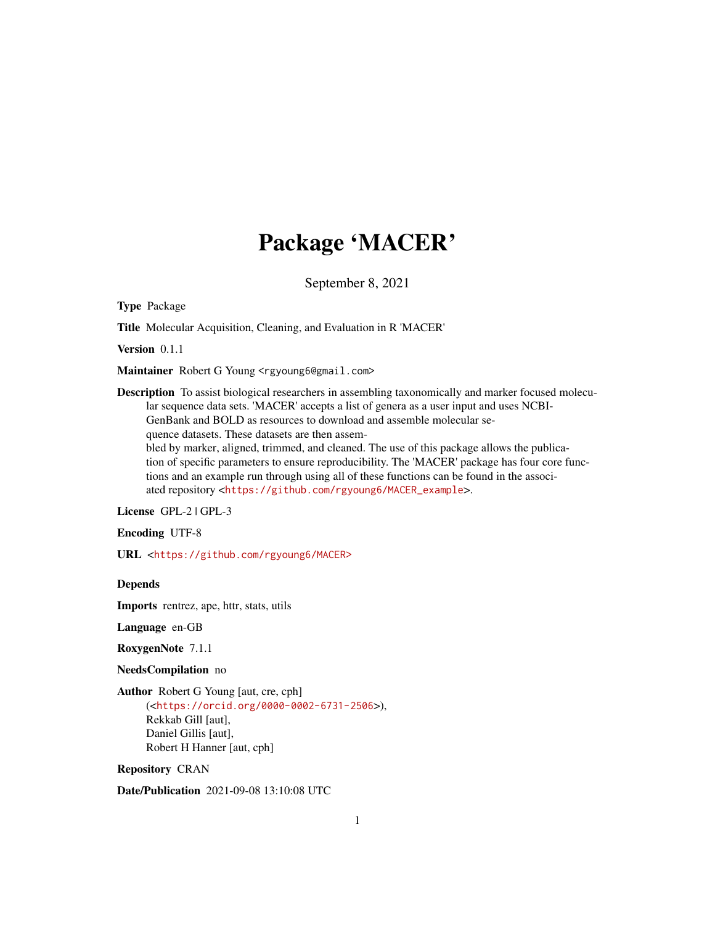## Package 'MACER'

September 8, 2021

Type Package

Title Molecular Acquisition, Cleaning, and Evaluation in R 'MACER'

Version 0.1.1

Maintainer Robert G Young <rgyoung6@gmail.com>

Description To assist biological researchers in assembling taxonomically and marker focused molecular sequence data sets. 'MACER' accepts a list of genera as a user input and uses NCBI-GenBank and BOLD as resources to download and assemble molecular sequence datasets. These datasets are then assem-

bled by marker, aligned, trimmed, and cleaned. The use of this package allows the publication of specific parameters to ensure reproducibility. The 'MACER' package has four core functions and an example run through using all of these functions can be found in the associated repository <[https://github.com/rgyoung6/MACER\\_example](https://github.com/rgyoung6/MACER_example)>.

License GPL-2 | GPL-3

Encoding UTF-8

URL <<https://github.com/rgyoung6/MACER>>

Depends

Imports rentrez, ape, httr, stats, utils

Language en-GB

RoxygenNote 7.1.1

NeedsCompilation no

Author Robert G Young [aut, cre, cph] (<<https://orcid.org/0000-0002-6731-2506>>), Rekkab Gill [aut], Daniel Gillis [aut], Robert H Hanner [aut, cph]

Repository CRAN

Date/Publication 2021-09-08 13:10:08 UTC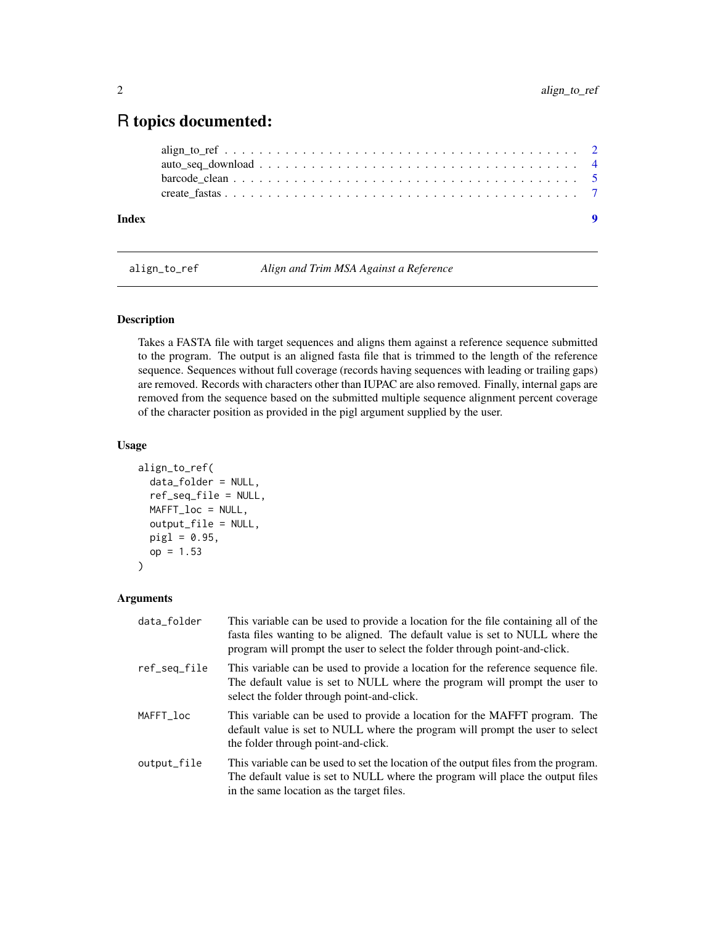### <span id="page-1-0"></span>R topics documented:

| Index |  |
|-------|--|
|       |  |
|       |  |
|       |  |
|       |  |

align\_to\_ref *Align and Trim MSA Against a Reference*

#### Description

Takes a FASTA file with target sequences and aligns them against a reference sequence submitted to the program. The output is an aligned fasta file that is trimmed to the length of the reference sequence. Sequences without full coverage (records having sequences with leading or trailing gaps) are removed. Records with characters other than IUPAC are also removed. Finally, internal gaps are removed from the sequence based on the submitted multiple sequence alignment percent coverage of the character position as provided in the pigl argument supplied by the user.

#### Usage

```
align_to_ref(
  data_folder = NULL,
  ref_seq_file = NULL,
 MAFFT_loc = NULL,
  output_file = NULL,
  pig1 = 0.95,
  op = 1.53\mathcal{L}
```
#### Arguments

| data_folder  | This variable can be used to provide a location for the file containing all of the<br>fasta files wanting to be aligned. The default value is set to NULL where the<br>program will prompt the user to select the folder through point-and-click. |
|--------------|---------------------------------------------------------------------------------------------------------------------------------------------------------------------------------------------------------------------------------------------------|
| ref_seq_file | This variable can be used to provide a location for the reference sequence file.<br>The default value is set to NULL where the program will prompt the user to<br>select the folder through point-and-click.                                      |
| MAFFT_loc    | This variable can be used to provide a location for the MAFFT program. The<br>default value is set to NULL where the program will prompt the user to select<br>the folder through point-and-click.                                                |
| output_file  | This variable can be used to set the location of the output files from the program.<br>The default value is set to NULL where the program will place the output files<br>in the same location as the target files.                                |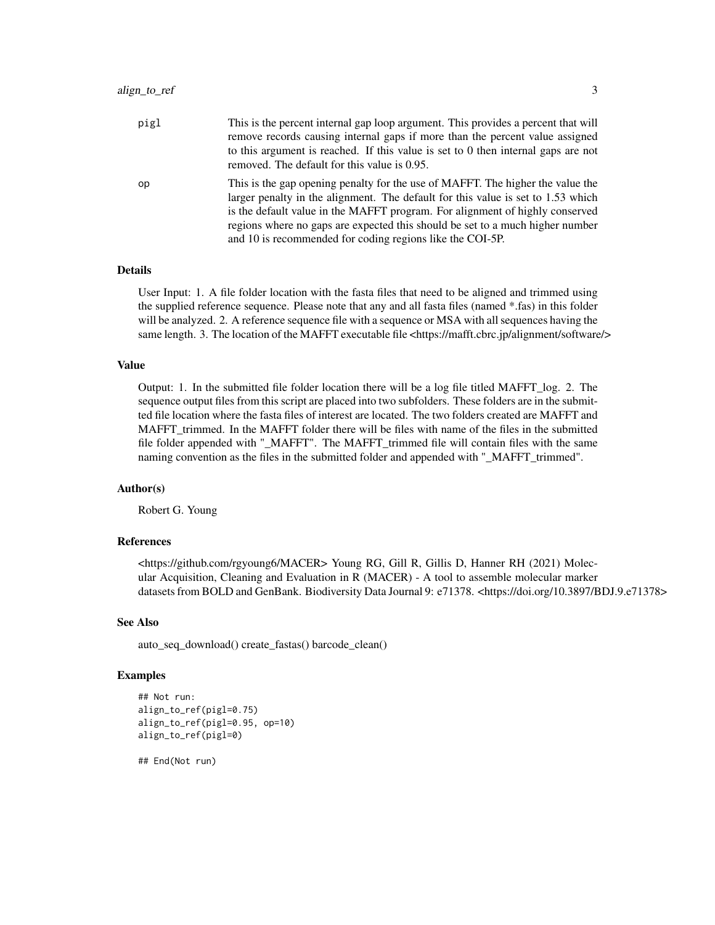| pigl | This is the percent internal gap loop argument. This provides a percent that will<br>remove records causing internal gaps if more than the percent value assigned<br>to this argument is reached. If this value is set to 0 then internal gaps are not<br>removed. The default for this value is 0.95.                                                                                           |
|------|--------------------------------------------------------------------------------------------------------------------------------------------------------------------------------------------------------------------------------------------------------------------------------------------------------------------------------------------------------------------------------------------------|
| op   | This is the gap opening penalty for the use of MAFFT. The higher the value the<br>larger penalty in the alignment. The default for this value is set to 1.53 which<br>is the default value in the MAFFT program. For alignment of highly conserved<br>regions where no gaps are expected this should be set to a much higher number<br>and 10 is recommended for coding regions like the COI-5P. |

#### Details

User Input: 1. A file folder location with the fasta files that need to be aligned and trimmed using the supplied reference sequence. Please note that any and all fasta files (named \*.fas) in this folder will be analyzed. 2. A reference sequence file with a sequence or MSA with all sequences having the same length. 3. The location of the MAFFT executable file <https://mafft.cbrc.jp/alignment/software/>

#### Value

Output: 1. In the submitted file folder location there will be a log file titled MAFFT\_log. 2. The sequence output files from this script are placed into two subfolders. These folders are in the submitted file location where the fasta files of interest are located. The two folders created are MAFFT and MAFFT trimmed. In the MAFFT folder there will be files with name of the files in the submitted file folder appended with "\_MAFFT". The MAFFT\_trimmed file will contain files with the same naming convention as the files in the submitted folder and appended with "\_MAFFT\_trimmed".

#### Author(s)

Robert G. Young

#### References

<https://github.com/rgyoung6/MACER> Young RG, Gill R, Gillis D, Hanner RH (2021) Molecular Acquisition, Cleaning and Evaluation in R (MACER) - A tool to assemble molecular marker datasets from BOLD and GenBank. Biodiversity Data Journal 9: e71378. <https://doi.org/10.3897/BDJ.9.e71378>

#### See Also

auto\_seq\_download() create\_fastas() barcode\_clean()

#### Examples

```
## Not run:
align_to_ref(pigl=0.75)
align_to_ref(pigl=0.95, op=10)
align_to_ref(pigl=0)
```
## End(Not run)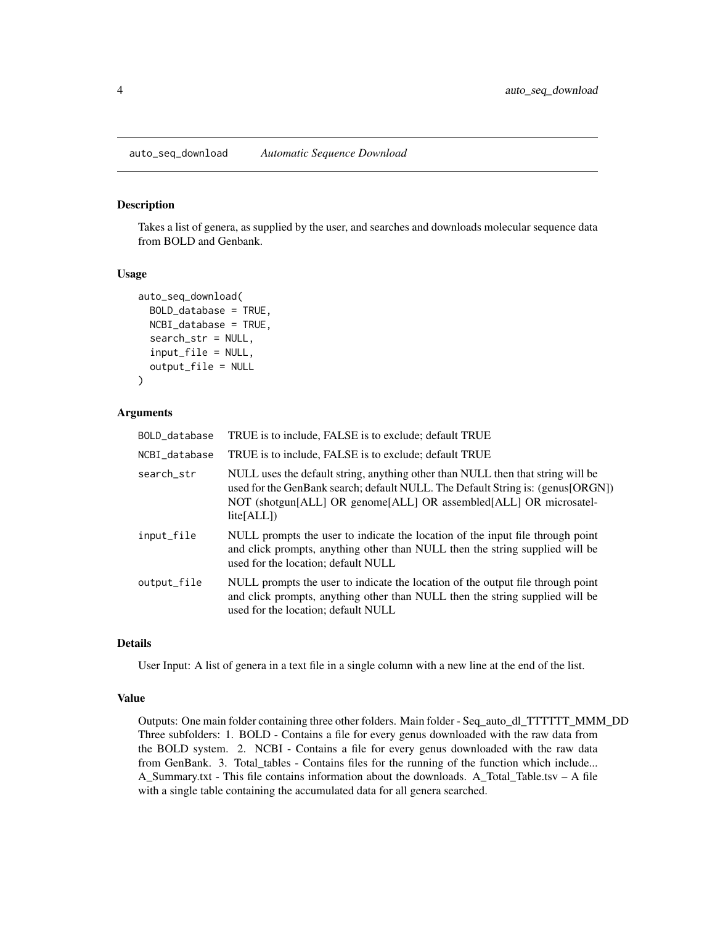#### <span id="page-3-0"></span>Description

Takes a list of genera, as supplied by the user, and searches and downloads molecular sequence data from BOLD and Genbank.

#### Usage

```
auto_seq_download(
 BOLD_database = TRUE,
 NCBI_database = TRUE,
  search_str = NULL,
  input_file = NULL,
  output_file = NULL
)
```
#### Arguments

| BOLD_database | TRUE is to include, FALSE is to exclude; default TRUE                                                                                                                                                                                                                |
|---------------|----------------------------------------------------------------------------------------------------------------------------------------------------------------------------------------------------------------------------------------------------------------------|
| NCBI database | TRUE is to include, FALSE is to exclude; default TRUE                                                                                                                                                                                                                |
| search_str    | NULL uses the default string, anything other than NULL then that string will be<br>used for the GenBank search; default NULL. The Default String is: (genus[ORGN])<br>NOT (shotgun[ALL] OR genome[ALL] OR assembled[ALL] OR microsatel-<br>$li\text{te}[\text{ALL}]$ |
| input_file    | NULL prompts the user to indicate the location of the input file through point<br>and click prompts, anything other than NULL then the string supplied will be<br>used for the location; default NULL                                                                |
| output_file   | NULL prompts the user to indicate the location of the output file through point<br>and click prompts, anything other than NULL then the string supplied will be<br>used for the location; default NULL                                                               |

#### Details

User Input: A list of genera in a text file in a single column with a new line at the end of the list.

#### Value

Outputs: One main folder containing three other folders. Main folder - Seq\_auto\_dl\_TTTTTT\_MMM\_DD Three subfolders: 1. BOLD - Contains a file for every genus downloaded with the raw data from the BOLD system. 2. NCBI - Contains a file for every genus downloaded with the raw data from GenBank. 3. Total\_tables - Contains files for the running of the function which include... A\_Summary.txt - This file contains information about the downloads. A\_Total\_Table.tsv – A file with a single table containing the accumulated data for all genera searched.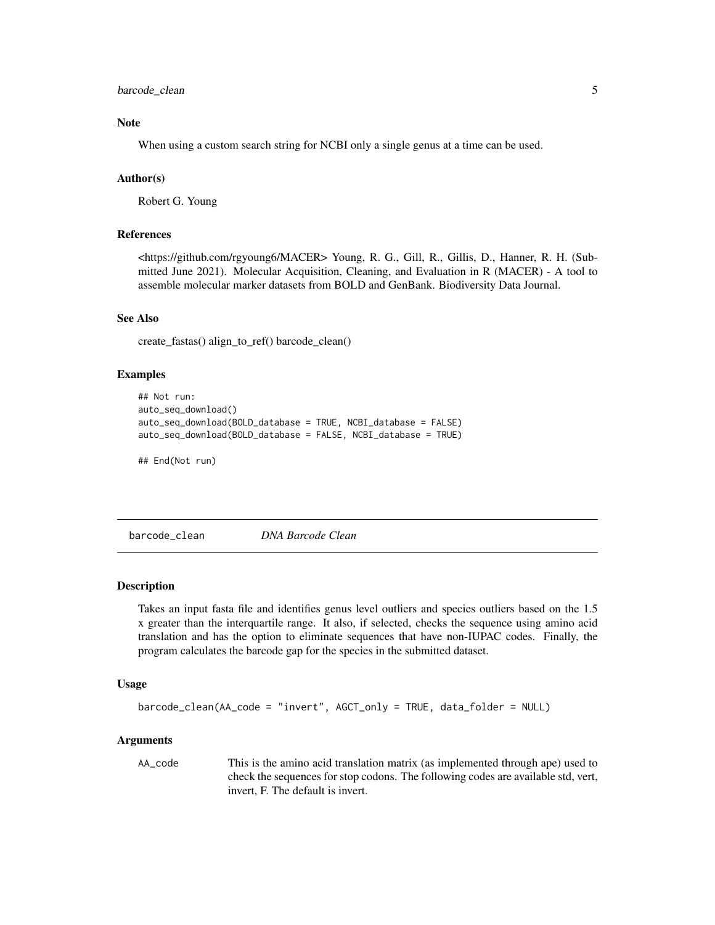#### <span id="page-4-0"></span>barcode\_clean 5

#### Note

When using a custom search string for NCBI only a single genus at a time can be used.

#### Author(s)

Robert G. Young

#### References

<https://github.com/rgyoung6/MACER> Young, R. G., Gill, R., Gillis, D., Hanner, R. H. (Submitted June 2021). Molecular Acquisition, Cleaning, and Evaluation in R (MACER) - A tool to assemble molecular marker datasets from BOLD and GenBank. Biodiversity Data Journal.

#### See Also

create\_fastas() align\_to\_ref() barcode\_clean()

#### Examples

```
## Not run:
auto_seq_download()
auto_seq_download(BOLD_database = TRUE, NCBI_database = FALSE)
auto_seq_download(BOLD_database = FALSE, NCBI_database = TRUE)
```
## End(Not run)

barcode\_clean *DNA Barcode Clean*

#### Description

Takes an input fasta file and identifies genus level outliers and species outliers based on the 1.5 x greater than the interquartile range. It also, if selected, checks the sequence using amino acid translation and has the option to eliminate sequences that have non-IUPAC codes. Finally, the program calculates the barcode gap for the species in the submitted dataset.

#### Usage

```
barcode_clean(AA_code = "invert", AGCT_only = TRUE, data_folder = NULL)
```
#### Arguments

AA\_code This is the amino acid translation matrix (as implemented through ape) used to check the sequences for stop codons. The following codes are available std, vert, invert, F. The default is invert.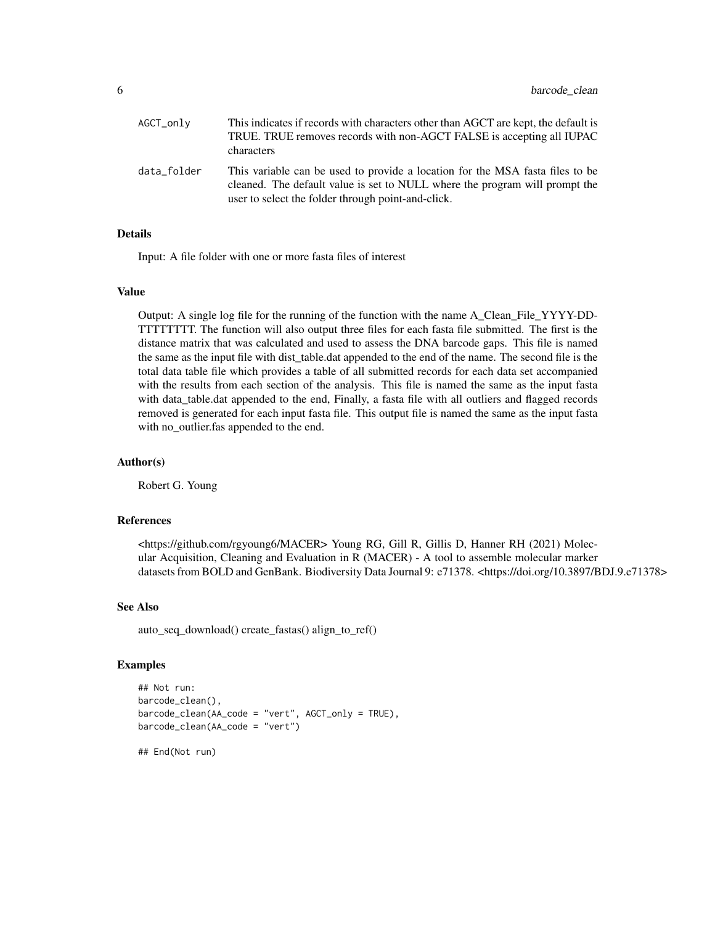| AGCT_only   | This indicates if records with characters other than AGCT are kept, the default is<br>TRUE. TRUE removes records with non-AGCT FALSE is accepting all IUPAC<br>characters                                          |
|-------------|--------------------------------------------------------------------------------------------------------------------------------------------------------------------------------------------------------------------|
| data_folder | This variable can be used to provide a location for the MSA fasta files to be<br>cleaned. The default value is set to NULL where the program will prompt the<br>user to select the folder through point-and-click. |

#### Details

Input: A file folder with one or more fasta files of interest

#### Value

Output: A single log file for the running of the function with the name A\_Clean\_File\_YYYY-DD-TTTTTTTT. The function will also output three files for each fasta file submitted. The first is the distance matrix that was calculated and used to assess the DNA barcode gaps. This file is named the same as the input file with dist table.dat appended to the end of the name. The second file is the total data table file which provides a table of all submitted records for each data set accompanied with the results from each section of the analysis. This file is named the same as the input fasta with data\_table.dat appended to the end, Finally, a fasta file with all outliers and flagged records removed is generated for each input fasta file. This output file is named the same as the input fasta with no\_outlier.fas appended to the end.

#### Author(s)

Robert G. Young

#### References

<https://github.com/rgyoung6/MACER> Young RG, Gill R, Gillis D, Hanner RH (2021) Molecular Acquisition, Cleaning and Evaluation in R (MACER) - A tool to assemble molecular marker datasets from BOLD and GenBank. Biodiversity Data Journal 9: e71378. <https://doi.org/10.3897/BDJ.9.e71378>

#### See Also

auto\_seq\_download() create\_fastas() align\_to\_ref()

#### Examples

```
## Not run:
barcode_clean(),
barcode_clean(AA_code = "vert", AGCT_only = TRUE),
barcode_clean(AA_code = "vert")
## End(Not run)
```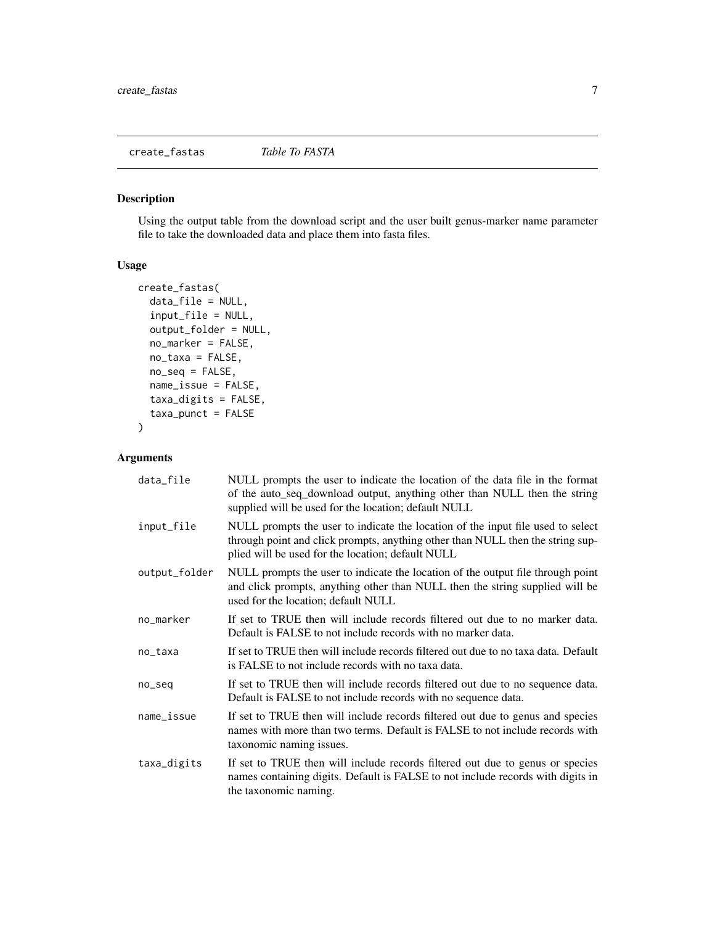<span id="page-6-0"></span>create\_fastas *Table To FASTA*

#### Description

Using the output table from the download script and the user built genus-marker name parameter file to take the downloaded data and place them into fasta files.

#### Usage

```
create_fastas(
  data_file = NULL,
  input_file = NULL,
  output_folder = NULL,
 no_marker = FALSE,
  no_taxa = FALSE,
 no_seq = FALSE,
  name_issue = FALSE,
  taxa_digits = FALSE,
  taxa_ - punct = FALSE
)
```
#### Arguments

| data_file     | NULL prompts the user to indicate the location of the data file in the format<br>of the auto_seq_download output, anything other than NULL then the string<br>supplied will be used for the location; default NULL     |
|---------------|------------------------------------------------------------------------------------------------------------------------------------------------------------------------------------------------------------------------|
| input_file    | NULL prompts the user to indicate the location of the input file used to select<br>through point and click prompts, anything other than NULL then the string sup-<br>plied will be used for the location; default NULL |
| output_folder | NULL prompts the user to indicate the location of the output file through point<br>and click prompts, anything other than NULL then the string supplied will be<br>used for the location; default NULL                 |
| no_marker     | If set to TRUE then will include records filtered out due to no marker data.<br>Default is FALSE to not include records with no marker data.                                                                           |
| no_taxa       | If set to TRUE then will include records filtered out due to no taxa data. Default<br>is FALSE to not include records with no taxa data.                                                                               |
| no_seq        | If set to TRUE then will include records filtered out due to no sequence data.<br>Default is FALSE to not include records with no sequence data.                                                                       |
| name_issue    | If set to TRUE then will include records filtered out due to genus and species<br>names with more than two terms. Default is FALSE to not include records with<br>taxonomic naming issues.                             |
| taxa_digits   | If set to TRUE then will include records filtered out due to genus or species<br>names containing digits. Default is FALSE to not include records with digits in<br>the taxonomic naming.                              |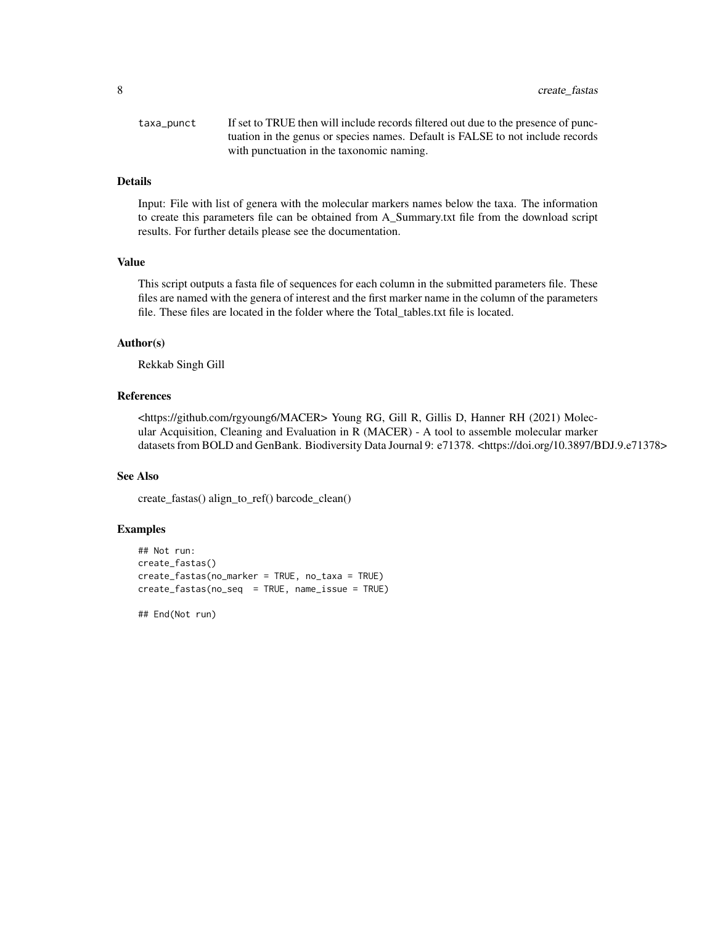8 create\_fastas

| taxa_punct | If set to TRUE then will include records filtered out due to the presence of punc- |
|------------|------------------------------------------------------------------------------------|
|            | tuation in the genus or species names. Default is FALSE to not include records     |
|            | with punctuation in the taxonomic naming.                                          |

#### Details

Input: File with list of genera with the molecular markers names below the taxa. The information to create this parameters file can be obtained from A\_Summary.txt file from the download script results. For further details please see the documentation.

#### Value

This script outputs a fasta file of sequences for each column in the submitted parameters file. These files are named with the genera of interest and the first marker name in the column of the parameters file. These files are located in the folder where the Total\_tables.txt file is located.

#### Author(s)

Rekkab Singh Gill

#### References

<https://github.com/rgyoung6/MACER> Young RG, Gill R, Gillis D, Hanner RH (2021) Molecular Acquisition, Cleaning and Evaluation in R (MACER) - A tool to assemble molecular marker datasets from BOLD and GenBank. Biodiversity Data Journal 9: e71378. <https://doi.org/10.3897/BDJ.9.e71378>

#### See Also

create\_fastas() align\_to\_ref() barcode\_clean()

#### Examples

```
## Not run:
create_fastas()
create_fastas(no_marker = TRUE, no_taxa = TRUE)
create_fastas(no_seq = TRUE, name_issue = TRUE)
```
## End(Not run)